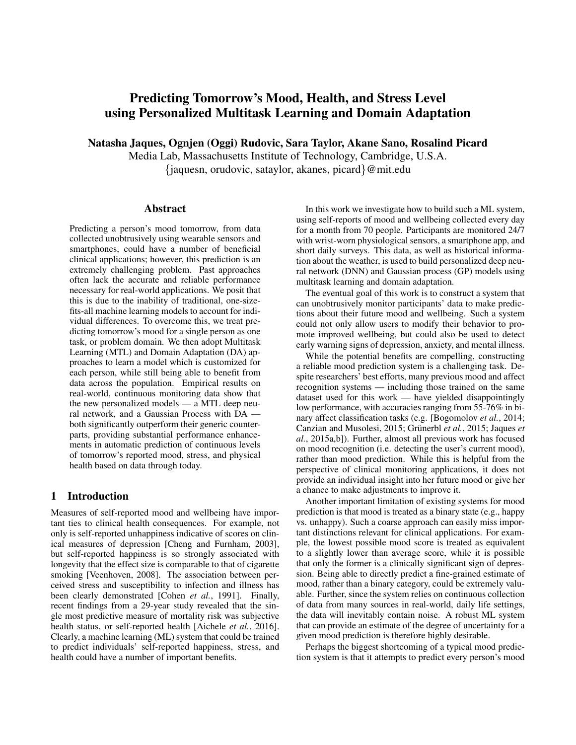# Predicting Tomorrow's Mood, Health, and Stress Level using Personalized Multitask Learning and Domain Adaptation

Natasha Jaques, Ognjen (Oggi) Rudovic, Sara Taylor, Akane Sano, Rosalind Picard

Media Lab, Massachusetts Institute of Technology, Cambridge, U.S.A. {jaquesn, orudovic, sataylor, akanes, picard}@mit.edu

### Abstract

Predicting a person's mood tomorrow, from data collected unobtrusively using wearable sensors and smartphones, could have a number of beneficial clinical applications; however, this prediction is an extremely challenging problem. Past approaches often lack the accurate and reliable performance necessary for real-world applications. We posit that this is due to the inability of traditional, one-sizefits-all machine learning models to account for individual differences. To overcome this, we treat predicting tomorrow's mood for a single person as one task, or problem domain. We then adopt Multitask Learning (MTL) and Domain Adaptation (DA) approaches to learn a model which is customized for each person, while still being able to benefit from data across the population. Empirical results on real-world, continuous monitoring data show that the new personalized models — a MTL deep neural network, and a Gaussian Process with DA both significantly outperform their generic counterparts, providing substantial performance enhancements in automatic prediction of continuous levels of tomorrow's reported mood, stress, and physical health based on data through today.

## 1 Introduction

Measures of self-reported mood and wellbeing have important ties to clinical health consequences. For example, not only is self-reported unhappiness indicative of scores on clinical measures of depression [Cheng and Furnham, 2003], but self-reported happiness is so strongly associated with longevity that the effect size is comparable to that of cigarette smoking [Veenhoven, 2008]. The association between perceived stress and susceptibility to infection and illness has been clearly demonstrated [Cohen *et al.*, 1991]. Finally, recent findings from a 29-year study revealed that the single most predictive measure of mortality risk was subjective health status, or self-reported health [Aichele *et al.*, 2016]. Clearly, a machine learning (ML) system that could be trained to predict individuals' self-reported happiness, stress, and health could have a number of important benefits.

In this work we investigate how to build such a ML system, using self-reports of mood and wellbeing collected every day for a month from 70 people. Participants are monitored 24/7 with wrist-worn physiological sensors, a smartphone app, and short daily surveys. This data, as well as historical information about the weather, is used to build personalized deep neural network (DNN) and Gaussian process (GP) models using multitask learning and domain adaptation.

The eventual goal of this work is to construct a system that can unobtrusively monitor participants' data to make predictions about their future mood and wellbeing. Such a system could not only allow users to modify their behavior to promote improved wellbeing, but could also be used to detect early warning signs of depression, anxiety, and mental illness.

While the potential benefits are compelling, constructing a reliable mood prediction system is a challenging task. Despite researchers' best efforts, many previous mood and affect recognition systems — including those trained on the same dataset used for this work — have yielded disappointingly low performance, with accuracies ranging from 55-76% in binary affect classification tasks (e.g. [Bogomolov *et al.*, 2014; Canzian and Musolesi, 2015; Grünerbl et al., 2015; Jaques et *al.*, 2015a,b]). Further, almost all previous work has focused on mood recognition (i.e. detecting the user's current mood), rather than mood prediction. While this is helpful from the perspective of clinical monitoring applications, it does not provide an individual insight into her future mood or give her a chance to make adjustments to improve it.

Another important limitation of existing systems for mood prediction is that mood is treated as a binary state (e.g., happy vs. unhappy). Such a coarse approach can easily miss important distinctions relevant for clinical applications. For example, the lowest possible mood score is treated as equivalent to a slightly lower than average score, while it is possible that only the former is a clinically significant sign of depression. Being able to directly predict a fine-grained estimate of mood, rather than a binary category, could be extremely valuable. Further, since the system relies on continuous collection of data from many sources in real-world, daily life settings, the data will inevitably contain noise. A robust ML system that can provide an estimate of the degree of uncertainty for a given mood prediction is therefore highly desirable.

Perhaps the biggest shortcoming of a typical mood prediction system is that it attempts to predict every person's mood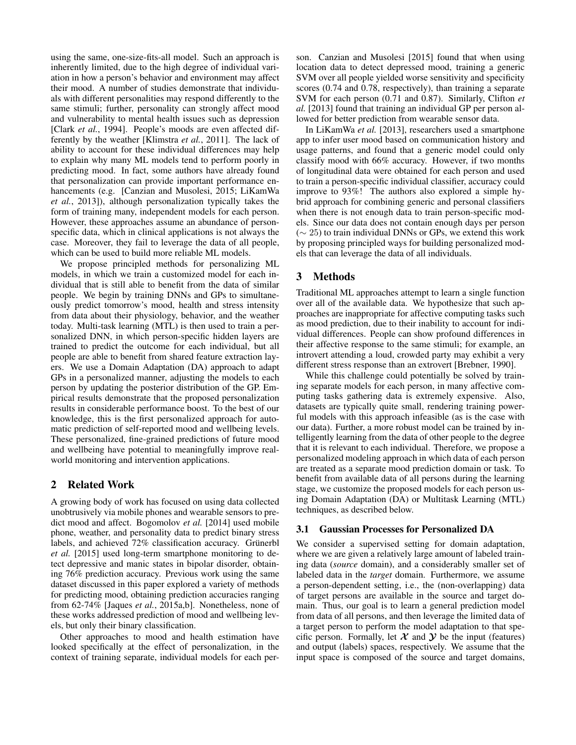using the same, one-size-fits-all model. Such an approach is inherently limited, due to the high degree of individual variation in how a person's behavior and environment may affect their mood. A number of studies demonstrate that individuals with different personalities may respond differently to the same stimuli; further, personality can strongly affect mood and vulnerability to mental health issues such as depression [Clark *et al.*, 1994]. People's moods are even affected differently by the weather [Klimstra *et al.*, 2011]. The lack of ability to account for these individual differences may help to explain why many ML models tend to perform poorly in predicting mood. In fact, some authors have already found that personalization can provide important performance enhancements (e.g. [Canzian and Musolesi, 2015; LiKamWa *et al.*, 2013]), although personalization typically takes the form of training many, independent models for each person. However, these approaches assume an abundance of personspecific data, which in clinical applications is not always the case. Moreover, they fail to leverage the data of all people, which can be used to build more reliable ML models.

We propose principled methods for personalizing ML models, in which we train a customized model for each individual that is still able to benefit from the data of similar people. We begin by training DNNs and GPs to simultaneously predict tomorrow's mood, health and stress intensity from data about their physiology, behavior, and the weather today. Multi-task learning (MTL) is then used to train a personalized DNN, in which person-specific hidden layers are trained to predict the outcome for each individual, but all people are able to benefit from shared feature extraction layers. We use a Domain Adaptation (DA) approach to adapt GPs in a personalized manner, adjusting the models to each person by updating the posterior distribution of the GP. Empirical results demonstrate that the proposed personalization results in considerable performance boost. To the best of our knowledge, this is the first personalized approach for automatic prediction of self-reported mood and wellbeing levels. These personalized, fine-grained predictions of future mood and wellbeing have potential to meaningfully improve realworld monitoring and intervention applications.

## 2 Related Work

A growing body of work has focused on using data collected unobtrusively via mobile phones and wearable sensors to predict mood and affect. Bogomolov *et al.* [2014] used mobile phone, weather, and personality data to predict binary stress labels, and achieved 72% classification accuracy. Grünerbl *et al.* [2015] used long-term smartphone monitoring to detect depressive and manic states in bipolar disorder, obtaining 76% prediction accuracy. Previous work using the same dataset discussed in this paper explored a variety of methods for predicting mood, obtaining prediction accuracies ranging from 62-74% [Jaques *et al.*, 2015a,b]. Nonetheless, none of these works addressed prediction of mood and wellbeing levels, but only their binary classification.

Other approaches to mood and health estimation have looked specifically at the effect of personalization, in the context of training separate, individual models for each person. Canzian and Musolesi [2015] found that when using location data to detect depressed mood, training a generic SVM over all people yielded worse sensitivity and specificity scores (0.74 and 0.78, respectively), than training a separate SVM for each person (0.71 and 0.87). Similarly, Clifton *et al.* [2013] found that training an individual GP per person allowed for better prediction from wearable sensor data.

In LiKamWa *et al.* [2013], researchers used a smartphone app to infer user mood based on communication history and usage patterns, and found that a generic model could only classify mood with 66% accuracy. However, if two months of longitudinal data were obtained for each person and used to train a person-specific individual classifier, accuracy could improve to 93%! The authors also explored a simple hybrid approach for combining generic and personal classifiers when there is not enough data to train person-specific models. Since our data does not contain enough days per person (∼ 25) to train individual DNNs or GPs, we extend this work by proposing principled ways for building personalized models that can leverage the data of all individuals.

## 3 Methods

Traditional ML approaches attempt to learn a single function over all of the available data. We hypothesize that such approaches are inappropriate for affective computing tasks such as mood prediction, due to their inability to account for individual differences. People can show profound differences in their affective response to the same stimuli; for example, an introvert attending a loud, crowded party may exhibit a very different stress response than an extrovert [Brebner, 1990].

While this challenge could potentially be solved by training separate models for each person, in many affective computing tasks gathering data is extremely expensive. Also, datasets are typically quite small, rendering training powerful models with this approach infeasible (as is the case with our data). Further, a more robust model can be trained by intelligently learning from the data of other people to the degree that it is relevant to each individual. Therefore, we propose a personalized modeling approach in which data of each person are treated as a separate mood prediction domain or task. To benefit from available data of all persons during the learning stage, we customize the proposed models for each person using Domain Adaptation (DA) or Multitask Learning (MTL) techniques, as described below.

## 3.1 Gaussian Processes for Personalized DA

We consider a supervised setting for domain adaptation, where we are given a relatively large amount of labeled training data (*source* domain), and a considerably smaller set of labeled data in the *target* domain. Furthermore, we assume a person-dependent setting, i.e., the (non-overlapping) data of target persons are available in the source and target domain. Thus, our goal is to learn a general prediction model from data of all persons, and then leverage the limited data of a target person to perform the model adaptation to that specific person. Formally, let  $X$  and  $Y$  be the input (features) and output (labels) spaces, respectively. We assume that the input space is composed of the source and target domains,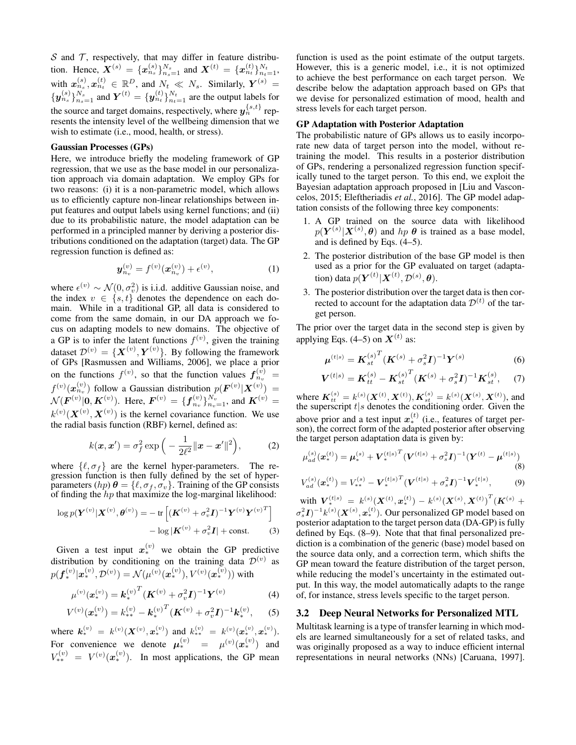S and  $\mathcal T$ , respectively, that may differ in feature distribution. Hence,  $\mathbf{X}^{(s)} = {\{\mathbf{x}_{n_s}^{(s)}\}_{n_s=1}^{N_s}}$  and  $\mathbf{X}^{(t)} = {\{\mathbf{x}_{n_t}^{(t)}\}_{n_t=1}^{N_t}}$ , with  $x_{n_s}^{(s)}, x_{n_t}^{(t)} \in \mathbb{R}^D$ , and  $N_t \ll N_s$ . Similarly,  $Y^{(s)} =$  $\{y_{n_s}^{(s)}\}_{n_s=1}^{N_s}$  and  $Y^{(t)} = \{y_{n_t}^{(t)}\}_{n_t=1}^{N_t}$  are the output labels for the source and target domains, respectively, where  $y_n^{\{s,t\}}$  represents the intensity level of the wellbeing dimension that we wish to estimate (i.e., mood, health, or stress).

#### Gaussian Processes (GPs)

Here, we introduce briefly the modeling framework of GP regression, that we use as the base model in our personalization approach via domain adaptation. We employ GPs for two reasons: (i) it is a non-parametric model, which allows us to efficiently capture non-linear relationships between input features and output labels using kernel functions; and (ii) due to its probabilistic nature, the model adaptation can be performed in a principled manner by deriving a posterior distributions conditioned on the adaptation (target) data. The GP regression function is defined as:

$$
\mathbf{y}_{n_v}^{(v)} = f^{(v)}(\mathbf{x}_{n_v}^{(v)}) + \epsilon^{(v)},\tag{1}
$$

where  $\epsilon^{(v)} \sim \mathcal{N}(0, \sigma_v^2)$  is i.i.d. additive Gaussian noise, and the index  $v \in \{s, t\}$  denotes the dependence on each domain. While in a traditional GP, all data is considered to come from the same domain, in our DA approach we focus on adapting models to new domains. The objective of a GP is to infer the latent functions  $f^{(v)}$ , given the training dataset  $\mathcal{D}^{(v)} = \{ \boldsymbol{X}^{(v)}, \boldsymbol{Y}^{(v)} \}$ . By following the framework of GPs [Rasmussen and Williams, 2006], we place a prior on the functions  $f^{(v)}$ , so that the function values  $f_{n_v}^{(v)} =$  $f^{(v)}(\boldsymbol{x}_{n_v}^{(v)})$  follow a Gaussian distribution  $p(\boldsymbol{F}^{(v)}|\boldsymbol{X}^{(v)}) =$  $\mathcal{N}(\bm{F}^{(v)}|\bm{0},\bm{K}^{(v)})$ . Here,  $\bm{F}^{(v)} = \{\bm{f}_{n_v}^{(v)}\}_{n_v=1}^{N_v}$ , and  $\bm{K}^{(v)}$  =  $k^{(v)}(\boldsymbol{X}^{(v)},\boldsymbol{X}^{(v)})$  is the kernel covariance function. We use the radial basis function (RBF) kernel, defined as:

$$
k(\boldsymbol{x}, \boldsymbol{x}') = \sigma_f^2 \exp\left(-\frac{1}{2\ell^2} ||\boldsymbol{x} - \boldsymbol{x}'||^2\right),\tag{2}
$$

where  $\{\ell, \sigma_f \}$  are the kernel hyper-parameters. The regression function is then fully defined by the set of hyperparameters (hp)  $\theta = {\ell, \sigma_f, \sigma_v}$ . Training of the GP consists of finding the  $hp$  that maximize the log-marginal likelihood:

$$
\log p(\mathbf{Y}^{(v)}|\mathbf{X}^{(v)},\boldsymbol{\theta}^{(v)}) = -\operatorname{tr}\left[ (\mathbf{K}^{(v)} + \sigma_v^2 \mathbf{I})^{-1} \mathbf{Y}^{(v)} \mathbf{Y}^{(v)T} \right] - \log |\mathbf{K}^{(v)} + \sigma_v^2 \mathbf{I}| + \text{const.}
$$
 (3)

Given a test input  $x_*^{(v)}$  we obtain the GP predictive distribution by conditioning on the training data  $\mathcal{D}^{(v)}$  as  $p(\bm{f}_*^{(v)}|\bm{x}^{(v)}_*, \mathcal{D}^{(v)}) = \mathcal{N}(\mu^{(v)}(\bm{x}^{(v)}_*), V^{(v)}(\bm{x}^{(v)}_*))$  with

$$
\mu^{(v)}(\boldsymbol{x}_{*}^{(v)}) = \boldsymbol{k}_{*}^{(v)}^{T} (\boldsymbol{K}^{(v)} + \sigma_{v}^{2} \boldsymbol{I})^{-1} \boldsymbol{Y}^{(v)}
$$
(4)

$$
V^{(v)}(\boldsymbol{x}_{*}^{(v)}) = k_{**}^{(v)} - {\boldsymbol{k}_{*}^{(v)}}^{T} ({\boldsymbol{K}}^{(v)} + \sigma_v^2 {\boldsymbol{I}})^{-1} {\boldsymbol{k}_{*}^{(v)}}, \qquad (5)
$$

where  $k_*^{(v)} = k^{(v)}(\mathbf{X}^{(v)}, \mathbf{x}_*^{(v)})$  and  $k_{**}^{(v)} = k^{(v)}(\mathbf{x}_*^{(v)}, \mathbf{x}_*^{(v)})$ . For convenience we denote  $\mu_*^{(v)} = \mu^{(v)}(\boldsymbol{x}_*^{(v)})$  and  $V_{**}^{(v)} = V^{(v)}(x_{*}^{(v)})$ . In most applications, the GP mean

function is used as the point estimate of the output targets. However, this is a generic model, i.e., it is not optimized to achieve the best performance on each target person. We describe below the adaptation approach based on GPs that we devise for personalized estimation of mood, health and stress levels for each target person.

### GP Adaptation with Posterior Adaptation

The probabilistic nature of GPs allows us to easily incorporate new data of target person into the model, without retraining the model. This results in a posterior distribution of GPs, rendering a personalized regression function specifically tuned to the target person. To this end, we exploit the Bayesian adaptation approach proposed in [Liu and Vasconcelos, 2015; Eleftheriadis *et al.*, 2016]. The GP model adaptation consists of the following three key components:

- 1. A GP trained on the source data with likelihood  $p(Y^{(s)}|X^{(s)},\theta)$  and  $hp \theta$  is trained as a base model, and is defined by Eqs. (4–5).
- 2. The posterior distribution of the base GP model is then used as a prior for the GP evaluated on target (adaptation) data  $p(\boldsymbol{Y}^{(t)}|\boldsymbol{X}^{(t)},\mathcal{D}^{(s)},\boldsymbol{\theta}).$
- 3. The posterior distribution over the target data is then corrected to account for the adaptation data  $\mathcal{D}^{(t)}$  of the target person.

The prior over the target data in the second step is given by applying Eqs. (4–5) on  $X^{(t)}$  as:

$$
\mu^{(t|s)} = K_{st}^{(s)^T} (K^{(s)} + \sigma_s^2 I)^{-1} Y^{(s)}
$$
(6)

$$
\boldsymbol{V}^{(t|s)} = \boldsymbol{K}_{tt}^{(s)} - \boldsymbol{K}_{st}^{(s)^{T}} (\boldsymbol{K}^{(s)} + \sigma_s^{2} \boldsymbol{I})^{-1} \boldsymbol{K}_{st}^{(s)}, \quad (7)
$$

where  $K_{tt}^{(s)} = k_{.}^{(s)}(X^{(t)}, X^{(t)}), K_{st}^{(s)} = k_{.}^{(s)}(X^{(s)}, X^{(t)}),$  and the superscript  $t|s$  denotes the conditioning order. Given the above prior and a test input  $x^{(t)}_*$  (i.e., features of target person), the correct form of the adapted posterior after observing the target person adaptation data is given by:

$$
\mu_{ad}^{(s)}(\boldsymbol{x}_{*}^{(t)}) = \boldsymbol{\mu}_{*}^{(s)} + \boldsymbol{V}_{*}^{(t|s)}^{T}(\boldsymbol{V}^{(t|s)} + \sigma_{s}^{2}\boldsymbol{I})^{-1}(\boldsymbol{Y}^{(t)} - \boldsymbol{\mu}^{(t|s)})
$$
\n(8)

$$
V_{ad}^{(s)}(\boldsymbol{x}_{*}^{(t)}) = V_{**}^{(s)} - \boldsymbol{V}_{*}^{(t|s)}^{T} (\boldsymbol{V}^{(t|s)} + \sigma_s^2 \boldsymbol{I})^{-1} \boldsymbol{V}_{*}^{(t|s)},
$$
(9)

with  $\boldsymbol{V}_*^{(t|s)} = k^{(s)}(\boldsymbol{X}^{(t)}, \boldsymbol{x}_*^{(t)}) - k^{(s)}(\boldsymbol{X}^{(s)}, \boldsymbol{X}^{(t)})^T(\boldsymbol{K}^{(s)} + \boldsymbol{K}^{(s)})$  $\sigma_s^2 I)^{-1} k^{(s)}(\boldsymbol{X}^{(s)},\boldsymbol{x}^{(t)}_*)$ . Our personalized GP model based on posterior adaptation to the target person data (DA-GP) is fully defined by Eqs. (8–9). Note that that final personalized prediction is a combination of the generic (base) model based on the source data only, and a correction term, which shifts the GP mean toward the feature distribution of the target person, while reducing the model's uncertainty in the estimated output. In this way, the model automatically adapts to the range of, for instance, stress levels specific to the target person.

#### 3.2 Deep Neural Networks for Personalized MTL

Multitask learning is a type of transfer learning in which models are learned simultaneously for a set of related tasks, and was originally proposed as a way to induce efficient internal representations in neural networks (NNs) [Caruana, 1997].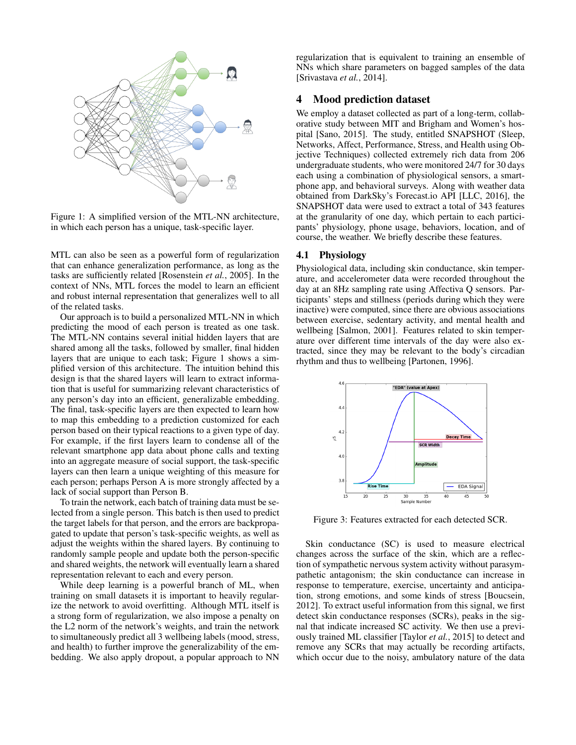

Figure 1: A simplified version of the MTL-NN architecture, in which each person has a unique, task-specific layer.

MTL can also be seen as a powerful form of regularization that can enhance generalization performance, as long as the tasks are sufficiently related [Rosenstein *et al.*, 2005]. In the context of NNs, MTL forces the model to learn an efficient and robust internal representation that generalizes well to all of the related tasks.

Our approach is to build a personalized MTL-NN in which predicting the mood of each person is treated as one task. The MTL-NN contains several initial hidden layers that are shared among all the tasks, followed by smaller, final hidden layers that are unique to each task; Figure 1 shows a simplified version of this architecture. The intuition behind this design is that the shared layers will learn to extract information that is useful for summarizing relevant characteristics of any person's day into an efficient, generalizable embedding. The final, task-specific layers are then expected to learn how to map this embedding to a prediction customized for each person based on their typical reactions to a given type of day. For example, if the first layers learn to condense all of the relevant smartphone app data about phone calls and texting into an aggregate measure of social support, the task-specific layers can then learn a unique weighting of this measure for each person; perhaps Person A is more strongly affected by a lack of social support than Person B.

To train the network, each batch of training data must be selected from a single person. This batch is then used to predict the target labels for that person, and the errors are backpropagated to update that person's task-specific weights, as well as adjust the weights within the shared layers. By continuing to randomly sample people and update both the person-specific and shared weights, the network will eventually learn a shared representation relevant to each and every person.

While deep learning is a powerful branch of ML, when training on small datasets it is important to heavily regularize the network to avoid overfitting. Although MTL itself is a strong form of regularization, we also impose a penalty on the L2 norm of the network's weights, and train the network to simultaneously predict all 3 wellbeing labels (mood, stress, and health) to further improve the generalizability of the embedding. We also apply dropout, a popular approach to NN regularization that is equivalent to training an ensemble of NNs which share parameters on bagged samples of the data [Srivastava *et al.*, 2014].

## 4 Mood prediction dataset

We employ a dataset collected as part of a long-term, collaborative study between MIT and Brigham and Women's hospital [Sano, 2015]. The study, entitled SNAPSHOT (Sleep, Networks, Affect, Performance, Stress, and Health using Objective Techniques) collected extremely rich data from 206 undergraduate students, who were monitored 24/7 for 30 days each using a combination of physiological sensors, a smartphone app, and behavioral surveys. Along with weather data obtained from DarkSky's Forecast.io API [LLC, 2016], the SNAPSHOT data were used to extract a total of 343 features at the granularity of one day, which pertain to each participants' physiology, phone usage, behaviors, location, and of course, the weather. We briefly describe these features.

### 4.1 Physiology

Physiological data, including skin conductance, skin temperature, and accelerometer data were recorded throughout the day at an 8Hz sampling rate using Affectiva Q sensors. Participants' steps and stillness (periods during which they were inactive) were computed, since there are obvious associations between exercise, sedentary activity, and mental health and wellbeing [Salmon, 2001]. Features related to skin temperature over different time intervals of the day were also extracted, since they may be relevant to the body's circadian rhythm and thus to wellbeing [Partonen, 1996].



Figure 3: Features extracted for each detected SCR.

Skin conductance (SC) is used to measure electrical changes across the surface of the skin, which are a reflection of sympathetic nervous system activity without parasympathetic antagonism; the skin conductance can increase in response to temperature, exercise, uncertainty and anticipation, strong emotions, and some kinds of stress [Boucsein, 2012]. To extract useful information from this signal, we first detect skin conductance responses (SCRs), peaks in the signal that indicate increased SC activity. We then use a previously trained ML classifier [Taylor *et al.*, 2015] to detect and remove any SCRs that may actually be recording artifacts, which occur due to the noisy, ambulatory nature of the data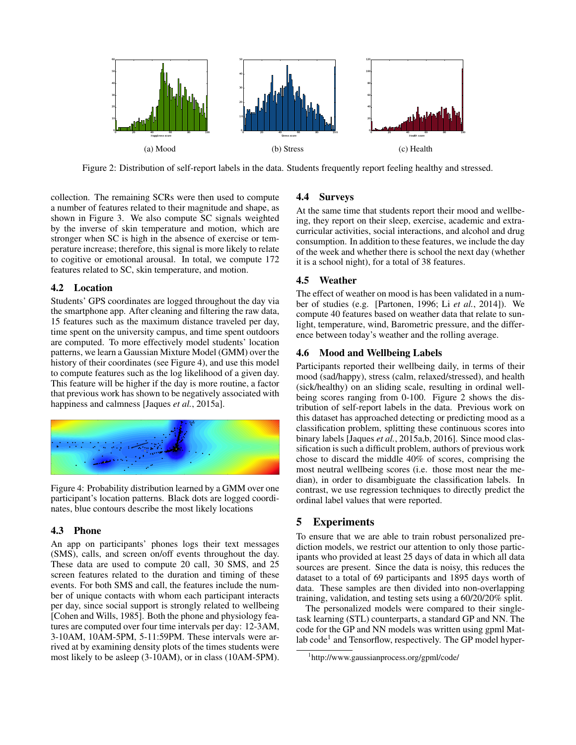

Figure 2: Distribution of self-report labels in the data. Students frequently report feeling healthy and stressed.

collection. The remaining SCRs were then used to compute a number of features related to their magnitude and shape, as shown in Figure 3. We also compute SC signals weighted by the inverse of skin temperature and motion, which are stronger when SC is high in the absence of exercise or temperature increase; therefore, this signal is more likely to relate to cogitive or emotional arousal. In total, we compute 172 features related to SC, skin temperature, and motion.

## 4.2 Location

Students' GPS coordinates are logged throughout the day via the smartphone app. After cleaning and filtering the raw data, 15 features such as the maximum distance traveled per day, time spent on the university campus, and time spent outdoors are computed. To more effectively model students' location patterns, we learn a Gaussian Mixture Model (GMM) over the history of their coordinates (see Figure 4), and use this model to compute features such as the log likelihood of a given day. This feature will be higher if the day is more routine, a factor that previous work has shown to be negatively associated with happiness and calmness [Jaques *et al.*, 2015a].



Figure 4: Probability distribution learned by a GMM over one participant's location patterns. Black dots are logged coordinates, blue contours describe the most likely locations

## 4.3 Phone

An app on participants' phones logs their text messages (SMS), calls, and screen on/off events throughout the day. These data are used to compute 20 call, 30 SMS, and 25 screen features related to the duration and timing of these events. For both SMS and call, the features include the number of unique contacts with whom each participant interacts per day, since social support is strongly related to wellbeing [Cohen and Wills, 1985]. Both the phone and physiology features are computed over four time intervals per day: 12-3AM, 3-10AM, 10AM-5PM, 5-11:59PM. These intervals were arrived at by examining density plots of the times students were most likely to be asleep (3-10AM), or in class (10AM-5PM).

## 4.4 Surveys

At the same time that students report their mood and wellbeing, they report on their sleep, exercise, academic and extracurricular activities, social interactions, and alcohol and drug consumption. In addition to these features, we include the day of the week and whether there is school the next day (whether it is a school night), for a total of 38 features.

## 4.5 Weather

The effect of weather on mood is has been validated in a number of studies (e.g. [Partonen, 1996; Li *et al.*, 2014]). We compute 40 features based on weather data that relate to sunlight, temperature, wind, Barometric pressure, and the difference between today's weather and the rolling average.

## 4.6 Mood and Wellbeing Labels

Participants reported their wellbeing daily, in terms of their mood (sad/happy), stress (calm, relaxed/stressed), and health (sick/healthy) on an sliding scale, resulting in ordinal wellbeing scores ranging from 0-100. Figure 2 shows the distribution of self-report labels in the data. Previous work on this dataset has approached detecting or predicting mood as a classification problem, splitting these continuous scores into binary labels [Jaques *et al.*, 2015a,b, 2016]. Since mood classification is such a difficult problem, authors of previous work chose to discard the middle 40% of scores, comprising the most neutral wellbeing scores (i.e. those most near the median), in order to disambiguate the classification labels. In contrast, we use regression techniques to directly predict the ordinal label values that were reported.

## 5 Experiments

To ensure that we are able to train robust personalized prediction models, we restrict our attention to only those participants who provided at least 25 days of data in which all data sources are present. Since the data is noisy, this reduces the dataset to a total of 69 participants and 1895 days worth of data. These samples are then divided into non-overlapping training, validation, and testing sets using a 60/20/20% split.

The personalized models were compared to their singletask learning (STL) counterparts, a standard GP and NN. The code for the GP and NN models was written using gpml Matlab code<sup>1</sup> and Tensorflow, respectively. The GP model hyper-

<sup>1</sup> http://www.gaussianprocess.org/gpml/code/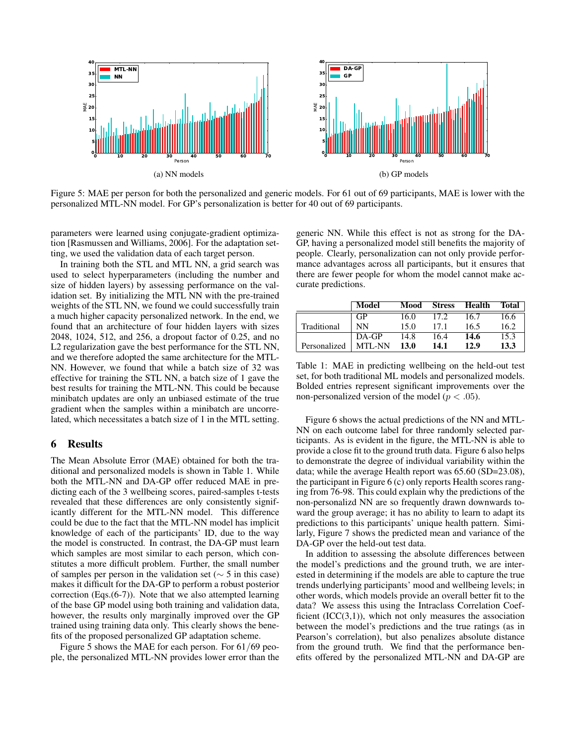

Figure 5: MAE per person for both the personalized and generic models. For 61 out of 69 participants, MAE is lower with the personalized MTL-NN model. For GP's personalization is better for 40 out of 69 participants.

parameters were learned using conjugate-gradient optimization [Rasmussen and Williams, 2006]. For the adaptation setting, we used the validation data of each target person.

In training both the STL and MTL NN, a grid search was used to select hyperparameters (including the number and size of hidden layers) by assessing performance on the validation set. By initializing the MTL NN with the pre-trained weights of the STL NN, we found we could successfully train a much higher capacity personalized network. In the end, we found that an architecture of four hidden layers with sizes 2048, 1024, 512, and 256, a dropout factor of 0.25, and no L2 regularization gave the best performance for the STL NN, and we therefore adopted the same architecture for the MTL-NN. However, we found that while a batch size of 32 was effective for training the STL NN, a batch size of 1 gave the best results for training the MTL-NN. This could be because minibatch updates are only an unbiased estimate of the true gradient when the samples within a minibatch are uncorrelated, which necessitates a batch size of 1 in the MTL setting.

### 6 Results

The Mean Absolute Error (MAE) obtained for both the traditional and personalized models is shown in Table 1. While both the MTL-NN and DA-GP offer reduced MAE in predicting each of the 3 wellbeing scores, paired-samples t-tests revealed that these differences are only consistently significantly different for the MTL-NN model. This difference could be due to the fact that the MTL-NN model has implicit knowledge of each of the participants' ID, due to the way the model is constructed. In contrast, the DA-GP must learn which samples are most similar to each person, which constitutes a more difficult problem. Further, the small number of samples per person in the validation set (∼ 5 in this case) makes it difficult for the DA-GP to perform a robust posterior correction (Eqs.(6-7)). Note that we also attempted learning of the base GP model using both training and validation data, however, the results only marginally improved over the GP trained using training data only. This clearly shows the benefits of the proposed personalized GP adaptation scheme.

Figure 5 shows the MAE for each person. For 61/69 people, the personalized MTL-NN provides lower error than the generic NN. While this effect is not as strong for the DA-GP, having a personalized model still benefits the majority of people. Clearly, personalization can not only provide performance advantages across all participants, but it ensures that there are fewer people for whom the model cannot make accurate predictions.

|              | Model     | Mood        | <b>Stress</b> | Health | Total |
|--------------|-----------|-------------|---------------|--------|-------|
|              | GP        | 16.0        | 17.2          | 16.7   | 16.6  |
| Traditional  | <b>NN</b> | 15.0        | 17.1          | 16.5   | 16.2  |
|              | DA-GP     | 14.8        | 16.4          | 14.6   | 15.3  |
| Personalized | MTL-NN    | <b>13.0</b> | 14.1          | 12.9   | 13.3  |

Table 1: MAE in predicting wellbeing on the held-out test set, for both traditional ML models and personalized models. Bolded entries represent significant improvements over the non-personalized version of the model ( $p < .05$ ).

Figure 6 shows the actual predictions of the NN and MTL-NN on each outcome label for three randomly selected participants. As is evident in the figure, the MTL-NN is able to provide a close fit to the ground truth data. Figure 6 also helps to demonstrate the degree of individual variability within the data; while the average Health report was 65.60 (SD=23.08), the participant in Figure 6 (c) only reports Health scores ranging from 76-98. This could explain why the predictions of the non-personalizd NN are so frequently drawn downwards toward the group average; it has no ability to learn to adapt its predictions to this participants' unique health pattern. Similarly, Figure 7 shows the predicted mean and variance of the DA-GP over the held-out test data.

In addition to assessing the absolute differences between the model's predictions and the ground truth, we are interested in determining if the models are able to capture the true trends underlying participants' mood and wellbeing levels; in other words, which models provide an overall better fit to the data? We assess this using the Intraclass Correlation Coefficient  $(ICC(3,1))$ , which not only measures the association between the model's predictions and the true ratings (as in Pearson's correlation), but also penalizes absolute distance from the ground truth. We find that the performance benefits offered by the personalized MTL-NN and DA-GP are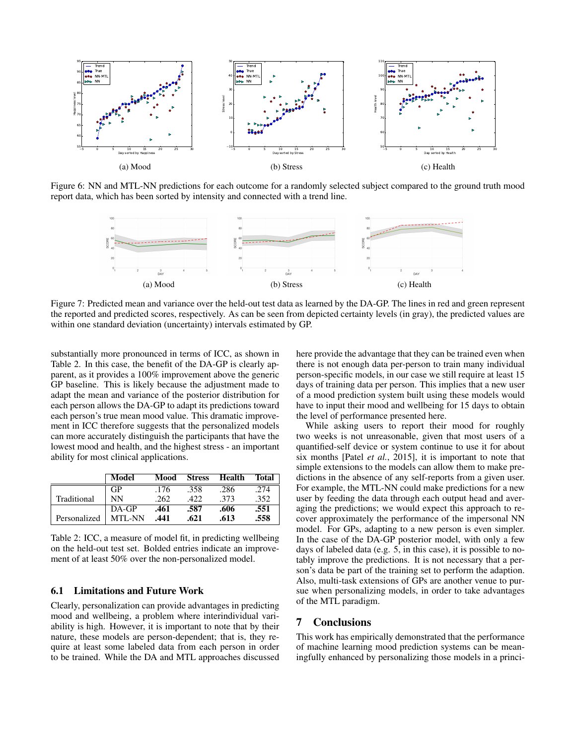

Figure 6: NN and MTL-NN predictions for each outcome for a randomly selected subject compared to the ground truth mood report data, which has been sorted by intensity and connected with a trend line.



Figure 7: Predicted mean and variance over the held-out test data as learned by the DA-GP. The lines in red and green represent the reported and predicted scores, respectively. As can be seen from depicted certainty levels (in gray), the predicted values are within one standard deviation (uncertainty) intervals estimated by GP.

substantially more pronounced in terms of ICC, as shown in Table 2. In this case, the benefit of the DA-GP is clearly apparent, as it provides a 100% improvement above the generic GP baseline. This is likely because the adjustment made to adapt the mean and variance of the posterior distribution for each person allows the DA-GP to adapt its predictions toward each person's true mean mood value. This dramatic improvement in ICC therefore suggests that the personalized models can more accurately distinguish the participants that have the lowest mood and health, and the highest stress - an important ability for most clinical applications.

|              | Model         | Mood | <b>Stress</b> | Health | Total |
|--------------|---------------|------|---------------|--------|-------|
|              | GP            | .176 | .358          | .286   | .274  |
| Traditional  | NN            | .262 | .422.         | -373   | .352  |
|              | $DA-GP$       | .461 | .587          | .606   | .551  |
| Personalized | <b>MTL-NN</b> | .441 | .621          | .613   | .558  |

Table 2: ICC, a measure of model fit, in predicting wellbeing on the held-out test set. Bolded entries indicate an improvement of at least 50% over the non-personalized model.

## 6.1 Limitations and Future Work

Clearly, personalization can provide advantages in predicting mood and wellbeing, a problem where interindividual variability is high. However, it is important to note that by their nature, these models are person-dependent; that is, they require at least some labeled data from each person in order to be trained. While the DA and MTL approaches discussed here provide the advantage that they can be trained even when there is not enough data per-person to train many individual person-specific models, in our case we still require at least 15 days of training data per person. This implies that a new user of a mood prediction system built using these models would have to input their mood and wellbeing for 15 days to obtain the level of performance presented here.

While asking users to report their mood for roughly two weeks is not unreasonable, given that most users of a quantified-self device or system continue to use it for about six months [Patel *et al.*, 2015], it is important to note that simple extensions to the models can allow them to make predictions in the absence of any self-reports from a given user. For example, the MTL-NN could make predictions for a new user by feeding the data through each output head and averaging the predictions; we would expect this approach to recover approximately the performance of the impersonal NN model. For GPs, adapting to a new person is even simpler. In the case of the DA-GP posterior model, with only a few days of labeled data (e.g. 5, in this case), it is possible to notably improve the predictions. It is not necessary that a person's data be part of the training set to perform the adaption. Also, multi-task extensions of GPs are another venue to pursue when personalizing models, in order to take advantages of the MTL paradigm.

### 7 Conclusions

This work has empirically demonstrated that the performance of machine learning mood prediction systems can be meaningfully enhanced by personalizing those models in a princi